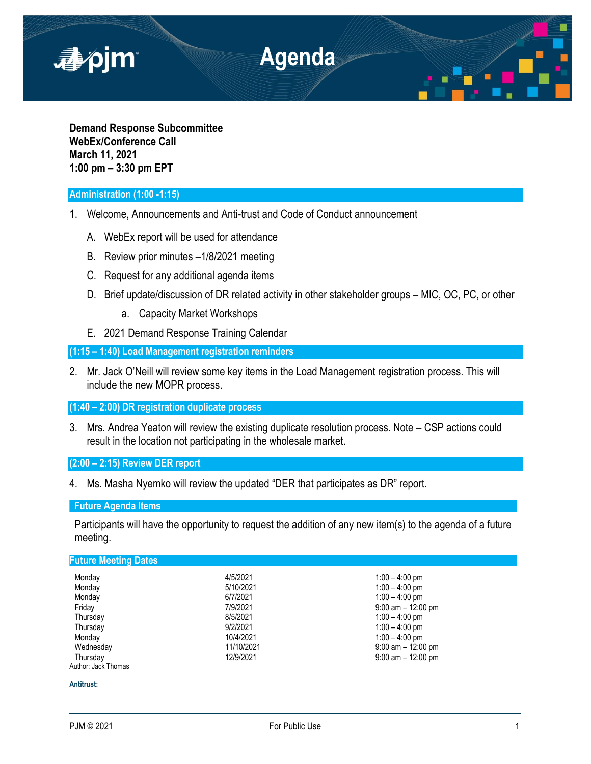

**Demand Response Subcommittee WebEx/Conference Call March 11, 2021 1:00 pm – 3:30 pm EPT**

## **Administration (1:00 -1:15)**

- 1. Welcome, Announcements and Anti-trust and Code of Conduct announcement
	- A. WebEx report will be used for attendance
	- B. Review prior minutes –1/8/2021 meeting
	- C. Request for any additional agenda items
	- D. Brief update/discussion of DR related activity in other stakeholder groups MIC, OC, PC, or other
		- a. Capacity Market Workshops
	- E. 2021 Demand Response Training Calendar

**(1:15 – 1:40) Load Management registration reminders**

2. Mr. Jack O'Neill will review some key items in the Load Management registration process. This will include the new MOPR process.

**(1:40 – 2:00) DR registration duplicate process** 

3. Mrs. Andrea Yeaton will review the existing duplicate resolution process. Note – CSP actions could result in the location not participating in the wholesale market.

**(2:00 – 2:15) Review DER report** 

4. Ms. Masha Nyemko will review the updated "DER that participates as DR" report.

## **Future Agenda Items**

Participants will have the opportunity to request the addition of any new item(s) to the agenda of a future meeting.

# **Future Meeting Dates**

| Monday              | 4/5/2021   | $1:00 - 4:00$ pm      |
|---------------------|------------|-----------------------|
| Monday              | 5/10/2021  | $1:00 - 4:00$ pm      |
| Monday              | 6/7/2021   | $1:00 - 4:00$ pm      |
| Friday              | 7/9/2021   | $9:00$ am $-12:00$ pm |
| Thursday            | 8/5/2021   | $1:00 - 4:00$ pm      |
| Thursday            | 9/2/2021   | $1:00 - 4:00$ pm      |
| Monday              | 10/4/2021  | $1:00 - 4:00$ pm      |
| Wednesday           | 11/10/2021 | $9:00$ am $-12:00$ pm |
| Thursday            | 12/9/2021  | $9:00$ am $-12:00$ pm |
| Author: Jack Thomas |            |                       |

## **Antitrust:**